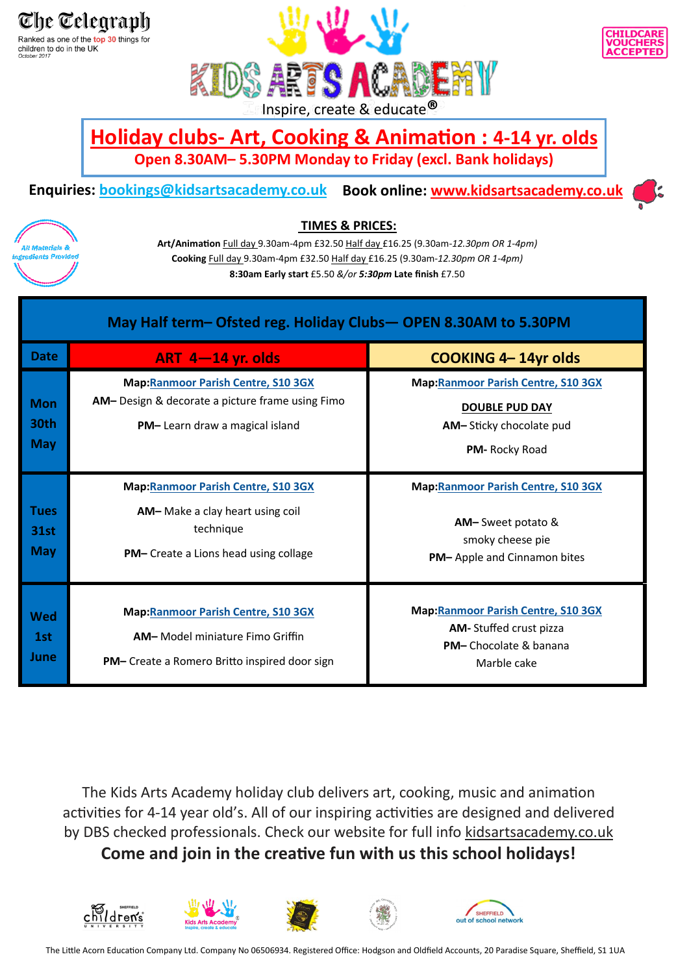The Telearaph Ranked as one of the top 30 things for children to do in the UK<br>
October 2017





## **Holiday clubs- Art, Cooking & Animation : 4-14 yr. olds Open 8.30AM– 5.30PM Monday to Friday (excl. Bank holidays)**

# **Enquiries: [bookings@kidsartsacademy.co.uk](mailto:bookings@kidsartsacademy.co.uk) Book online: [www.kidsartsacademy.co.uk](http://www.kidsartsacademy.co.uk)**





#### **TIMES & PRICES:**

**Art/Animation** Full day 9.30am-4pm £32.50 Half day £16.25 (9.30am-*12.30pm OR 1-4pm)*  **Cooking** Full day 9.30am-4pm £32.50 Half day £16.25 (9.30am-*12.30pm OR 1-4pm)*  **8:30am Early start** £5.50 *&/or 5:30pm* **Late finish** £7.50

| May Half term-Ofsted reg. Holiday Clubs-OPEN 8.30AM to 5.30PM |                                                                                                                                              |                                                                                                                              |  |
|---------------------------------------------------------------|----------------------------------------------------------------------------------------------------------------------------------------------|------------------------------------------------------------------------------------------------------------------------------|--|
| <b>Date</b>                                                   | ART $4-14$ yr. olds                                                                                                                          | <b>COOKING 4-14yr olds</b>                                                                                                   |  |
| <b>Mon</b><br>30th<br><b>May</b>                              | <b>Map:Ranmoor Parish Centre, S10 3GX</b><br>AM- Design & decorate a picture frame using Fimo<br>PM-Learn draw a magical island              | <b>Map:Ranmoor Parish Centre, S10 3GX</b><br><b>DOUBLE PUD DAY</b><br>AM-Sticky chocolate pud<br>PM-Rocky Road               |  |
| Tues<br><b>31st</b><br><b>May</b>                             | <b>Map:Ranmoor Parish Centre, S10 3GX</b><br>AM-Make a clay heart using coil<br>technique<br><b>PM-</b> Create a Lions head using collage    | <b>Map:Ranmoor Parish Centre, S10 3GX</b><br><b>AM-Sweet potato &amp;</b><br>smoky cheese pie<br>PM-Apple and Cinnamon bites |  |
| Wed<br>1st<br>June                                            | <b>Map:Ranmoor Parish Centre, S10 3GX</b><br><b>AM-</b> Model miniature Fimo Griffin<br><b>PM-</b> Create a Romero Britto inspired door sign | <b>Map:</b> Ranmoor Parish Centre, S10 3GX<br>AM-Stuffed crust pizza<br>PM- Chocolate & banana<br>Marble cake                |  |

The Kids Arts Academy holiday club delivers art, cooking, music and animation activities for 4-14 year old's. All of our inspiring activities are designed and delivered by DBS checked professionals. Check our website for full info kidsartsacademy.co.uk

**Come and join in the creative fun with us this school holidays!**









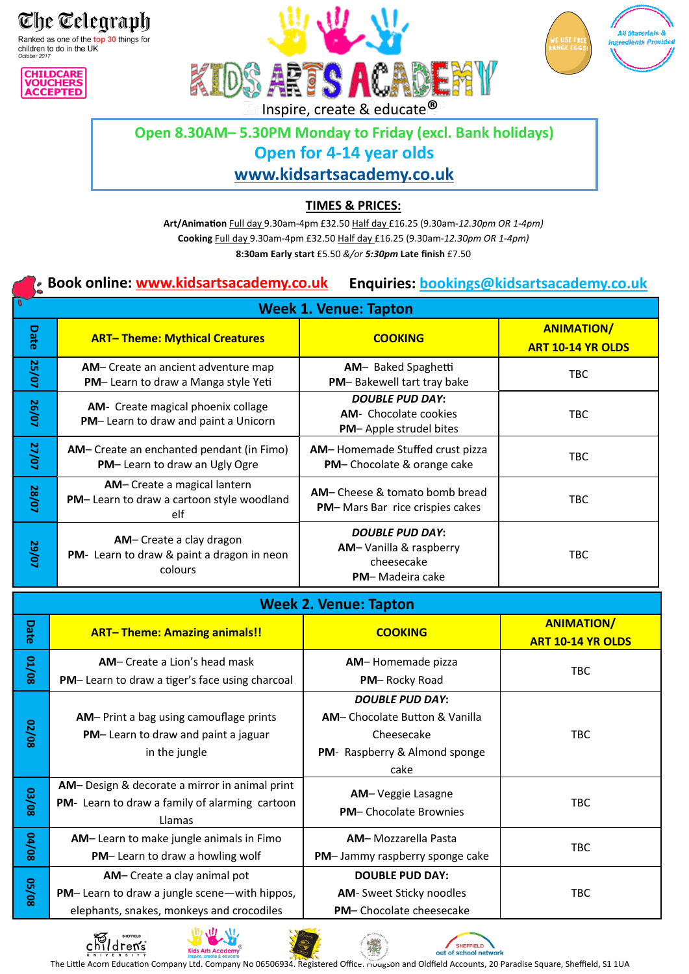The Telegraph Ranked as one of the top 30 things for

children to do in the UK<br>
October 2017







# **Open 8.30AM– 5.30PM Monday to Friday (excl. Bank holidays)**

#### **Open for 4-14 year olds**

### **[www.kidsartsacademy.co.uk](https://kidsartsacademy.co.uk/)**

#### **TIMES & PRICES:**

**Art/Animation** Full day 9.30am-4pm £32.50 Half day £16.25 (9.30am-*12.30pm OR 1-4pm)*  **Cooking** Full day 9.30am-4pm £32.50 Half day £16.25 (9.30am-*12.30pm OR 1-4pm)*  **8:30am Early start** £5.50 *&/or 5:30pm* **Late finish** £7.50

#### **Book online: [www.kidsartsacademy.co.uk](http://www.kidsartsacademy.co.uk)  Enquiries: [bookings@kidsartsacademy.co.uk](mailto:bookings@kidsartsacademy.co.uk)**

|       |                                                                                   | <b>Week 1. Venue: Tapton</b>                                                             |                                               |
|-------|-----------------------------------------------------------------------------------|------------------------------------------------------------------------------------------|-----------------------------------------------|
| Date  | <b>ART-Theme: Mythical Creatures</b>                                              | <b>COOKING</b>                                                                           | <b>ANIMATION/</b><br><b>ART 10-14 YR OLDS</b> |
| 25/07 | <b>AM-</b> Create an ancient adventure map<br>PM-Learn to draw a Manga style Yeti | AM- Baked Spaghetti<br>PM-Bakewell tart tray bake                                        | TBC.                                          |
| 26/07 | AM- Create magical phoenix collage<br>PM-Learn to draw and paint a Unicorn        | <b>DOUBLE PUD DAY:</b><br><b>AM-</b> Chocolate cookies<br><b>PM-Apple strudel bites</b>  | <b>TBC</b>                                    |
| 27/07 | AM- Create an enchanted pendant (in Fimo)<br>PM-Learn to draw an Ugly Ogre        | AM-Homemade Stuffed crust pizza<br>PM-Chocolate & orange cake                            | TBC.                                          |
| 28/07 | AM- Create a magical lantern<br>PM-Learn to draw a cartoon style woodland<br>elf  | AM-Cheese & tomato bomb bread<br><b>PM-</b> Mars Bar rice crispies cakes                 | TBC.                                          |
| 29/07 | AM-Create a clay dragon<br>PM- Learn to draw & paint a dragon in neon<br>colours  | <b>DOUBLE PUD DAY:</b><br>AM-Vanilla & raspberry<br>cheesecake<br><b>PM-Madeira cake</b> | TBC                                           |

# **Week 2. Venue: Tapton**

| Date         | <b>ART-Theme: Amazing animals!!</b>                                                                                             | <b>COOKING</b>                                                                                                         | <b>ANIMATION/</b><br><b>ART 10-14 YR OLDS</b> |
|--------------|---------------------------------------------------------------------------------------------------------------------------------|------------------------------------------------------------------------------------------------------------------------|-----------------------------------------------|
| <b>80/TO</b> | <b>AM-</b> Create a Lion's head mask<br>PM-Learn to draw a tiger's face using charcoal                                          | AM-Homemade pizza<br>PM-Rocky Road                                                                                     | <b>TBC</b>                                    |
| 02/08        | AM-Print a bag using camouflage prints<br>PM-Learn to draw and paint a jaguar<br>in the jungle                                  | <b>DOUBLE PUD DAY:</b><br><b>AM-</b> Chocolate Button & Vanilla<br>Cheesecake<br>PM- Raspberry & Almond sponge<br>cake | <b>TBC</b>                                    |
| 80/80        | AM-Design & decorate a mirror in animal print<br>PM- Learn to draw a family of alarming cartoon<br>Llamas                       | AM-Veggie Lasagne<br><b>PM-Chocolate Brownies</b>                                                                      | <b>TBC</b>                                    |
| 80/10        | AM-Learn to make jungle animals in Fimo<br>PM-Learn to draw a howling wolf                                                      | <b>AM-Mozzarella Pasta</b><br>PM-Jammy raspberry sponge cake                                                           | <b>TBC</b>                                    |
| 80/50        | AM-Create a clay animal pot<br><b>PM-Learn to draw a jungle scene-with hippos,</b><br>elephants, snakes, monkeys and crocodiles | <b>DOUBLE PUD DAY:</b><br><b>AM-</b> Sweet Sticky noodles<br>PM-Chocolate cheesecake                                   | <b>TBC</b>                                    |







SHEFFIELD

out of school network

The Little Acorn Education Company Ltd. Company No 06506934. Registered Office: nougson and Oldfield Accounts, 20 Paradise Square, Sheffield, S1 1UA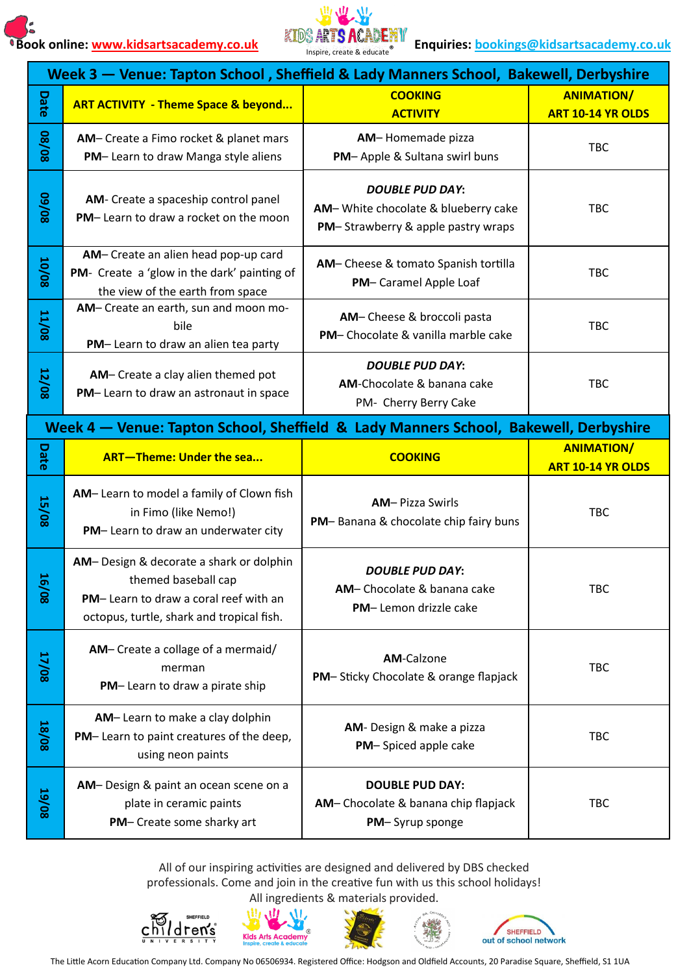

|                        | Week 3 - Venue: Tapton School, Sheffield & Lady Manners School, Bakewell, Derbyshire                                                                 |                                                                                                     |                                               |  |
|------------------------|------------------------------------------------------------------------------------------------------------------------------------------------------|-----------------------------------------------------------------------------------------------------|-----------------------------------------------|--|
| Date                   | <b>ART ACTIVITY - Theme Space &amp; beyond</b>                                                                                                       | <b>COOKING</b><br><b>ACTIVITY</b>                                                                   | <b>ANIMATION/</b><br>ART 10-14 YR OLDS        |  |
| 80/80                  | AM- Create a Fimo rocket & planet mars<br>PM-Learn to draw Manga style aliens                                                                        | AM-Homemade pizza<br>PM-Apple & Sultana swirl buns                                                  | <b>TBC</b>                                    |  |
| 80/60                  | AM- Create a spaceship control panel<br>PM-Learn to draw a rocket on the moon                                                                        | <b>DOUBLE PUD DAY:</b><br>AM-White chocolate & blueberry cake<br>PM-Strawberry & apple pastry wraps | <b>TBC</b>                                    |  |
| 10/08                  | AM-Create an alien head pop-up card<br>PM- Create a 'glow in the dark' painting of<br>the view of the earth from space                               | AM-Cheese & tomato Spanish tortilla<br>PM-Caramel Apple Loaf                                        | <b>TBC</b>                                    |  |
| <b>11/08</b>           | AM- Create an earth, sun and moon mo-<br>bile<br>PM-Learn to draw an alien tea party                                                                 | AM-Cheese & broccoli pasta<br>PM- Chocolate & vanilla marble cake                                   | <b>TBC</b>                                    |  |
| 12/08                  | AM-Create a clay alien themed pot<br>PM-Learn to draw an astronaut in space                                                                          | <b>DOUBLE PUD DAY:</b><br>AM-Chocolate & banana cake<br>PM- Cherry Berry Cake                       | <b>TBC</b>                                    |  |
|                        | Week 4 – Venue: Tapton School, Sheffield & Lady Manners School, Bakewell, Derbyshire                                                                 |                                                                                                     |                                               |  |
| Date                   | <b>ART-Theme: Under the sea</b>                                                                                                                      | <b>COOKING</b>                                                                                      | <b>ANIMATION/</b><br><b>ART 10-14 YR OLDS</b> |  |
| <b>15/08</b>           | AM-Learn to model a family of Clown fish<br>in Fimo (like Nemo!)<br>PM-Learn to draw an underwater city                                              | <b>AM-Pizza Swirls</b><br>PM-Banana & chocolate chip fairy buns                                     | TBC                                           |  |
| $\overline{16}$<br>င္တ | AM-Design & decorate a shark or dolphin<br>themed baseball cap<br>PM-Learn to draw a coral reef with an<br>octopus, turtle, shark and tropical fish. | <b>DOUBLE PUD DAY:</b><br>AM-Chocolate & banana cake<br>PM-Lemon drizzle cake                       | TBC                                           |  |
| 17/08                  | AM- Create a collage of a mermaid/<br>merman<br>PM-Learn to draw a pirate ship                                                                       | <b>AM-Calzone</b><br>PM-Sticky Chocolate & orange flapjack                                          | <b>TBC</b>                                    |  |
| <b>18/08</b>           | AM-Learn to make a clay dolphin<br>PM-Learn to paint creatures of the deep,<br>using neon paints                                                     | AM- Design & make a pizza<br>PM-Spiced apple cake                                                   | TBC                                           |  |
| <b>19/08</b>           | AM-Design & paint an ocean scene on a<br>plate in ceramic paints<br>PM- Create some sharky art                                                       | <b>DOUBLE PUD DAY:</b><br>AM-Chocolate & banana chip flapjack<br>PM-Syrup sponge                    | TBC                                           |  |

All of our inspiring activities are designed and delivered by DBS checked professionals. Come and join in the creative fun with us this school holidays!









The Little Acorn Education Company Ltd. Company No 06506934. Registered Office: Hodgson and Oldfield Accounts, 20 Paradise Square, Sheffield, S1 1UA